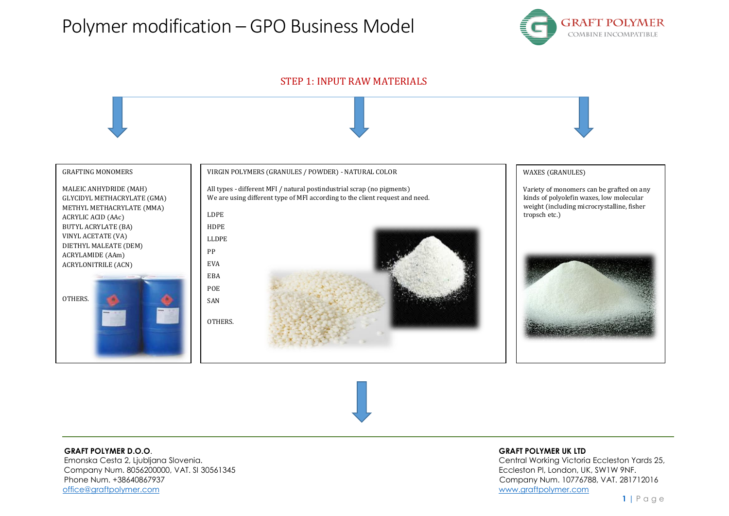



### **GRAFT POLYMER D.O.O**. **GRAFT POLYMER UK LTD**

 Emonska Cesta 2, Ljubljana Slovenia. Central Working Victoria Eccleston Yards 25, Company Num. 8056200000, VAT. SI 30561345 Eccleston Pl, London, UK, SW1W 9NF. Phone Num. +38640867937 Company Num. 10776788, VAT. 281712016 [office@graftpolymer.com](mailto:office@graftpolymer.com) [www.graftpolymer.com](http://www.graftpolymer.com/)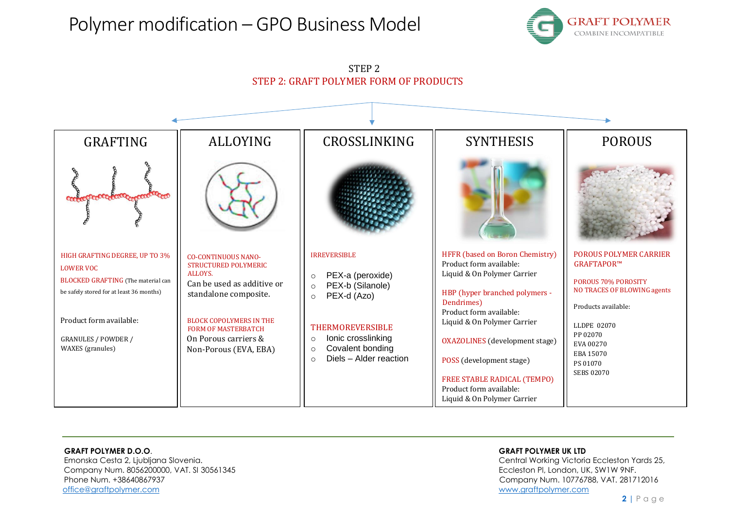## Polymer modification – GPO Business Model





# STEP 2

### **GRAFT POLYMER D.O.O**. **GRAFT POLYMER UK LTD**

 Emonska Cesta 2, Ljubljana Slovenia. Central Working Victoria Eccleston Yards 25, Company Num. 8056200000, VAT. SI 30561345 Eccleston Pl, London, UK, SW1W 9NF. Phone Num. +38640867937 Company Num. 10776788, VAT. 281712016 [office@graftpolymer.com](mailto:office@graftpolymer.com) [www.graftpolymer.com](http://www.graftpolymer.com/)